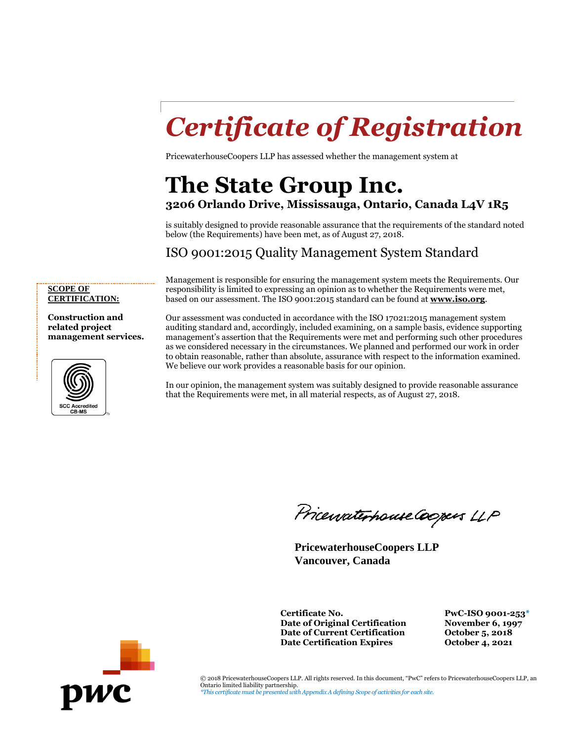# *Certificate of Registration*

PricewaterhouseCoopers LLP has assessed whether the management system at

### **The State Group Inc. 3206 Orlando Drive, Mississauga, Ontario, Canada L4V 1R5**

is suitably designed to provide reasonable assurance that the requirements of the standard noted below (the Requirements) have been met, as of August 27, 2018.

#### ISO 9001:2015 Quality Management System Standard

Management is responsible for ensuring the management system meets the Requirements. Our responsibility is limited to expressing an opinion as to whether the Requirements were met, based on our assessment. The ISO 9001:2015 standard can be found at **[www.iso.org](http://www.iso.org/)**.

**SCOPE OF CERTIFICATION:**

**Construction and related project management services.**



Our assessment was conducted in accordance with the ISO 17021:2015 management system auditing standard and, accordingly, included examining, on a sample basis, evidence supporting management's assertion that the Requirements were met and performing such other procedures as we considered necessary in the circumstances. We planned and performed our work in order to obtain reasonable, rather than absolute, assurance with respect to the information examined. We believe our work provides a reasonable basis for our opinion.

In our opinion, the management system was suitably designed to provide reasonable assurance that the Requirements were met, in all material respects, as of August 27, 2018.

Pricewaterhouse Coopers LLP

**PricewaterhouseCoopers LLP Vancouver, Canada**

**Certificate No. PwC-ISO 9001-253\* Date of Original Certification November 6, 1997 Date of Current Certification October 5, 2018**<br> **Date Certification Expires October 4, 2021 Date Certification Expires** 



© 2018 PricewaterhouseCoopers LLP. All rights reserved. In this document, "PwC" refers to PricewaterhouseCoopers LLP, an Ontario limited liability partnership. *\*This certificate must be presented with Appendix A defining Scope of activities for each site.*